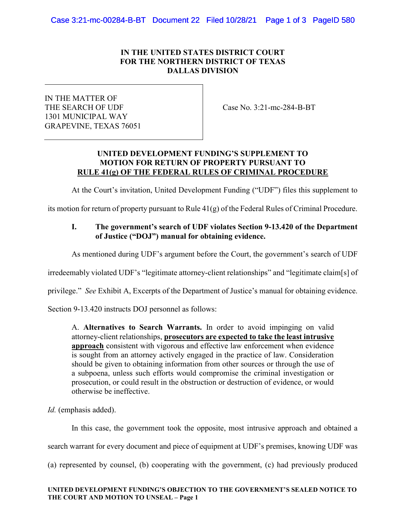# IN THE UNITED STATES DISTRICT COURT FOR THE NORTHERN DISTRICT OF TEXAS DALLAS DIVISION

IN THE MATTER OF THE SEARCH OF UDF 1301 MUNICIPAL WAY GRAPEVINE, TEXAS 76051

Case No. 3:21-mc-284-B-BT

## UNITED DEVELOPMENT FUNDING'S SUPPLEMENT TO MOTION FOR RETURN OF PROPERTY PURSUANT TO RULE 41(g) OF THE FEDERAL RULES OF CRIMINAL PROCEDURE

At the Court's invitation, United Development Funding ("UDF") files this supplement to

its motion for return of property pursuant to Rule 41(g) of the Federal Rules of Criminal Procedure.

# I. The government's search of UDF violates Section 9-13.420 of the Department of Justice ("DOJ") manual for obtaining evidence.

As mentioned during UDF's argument before the Court, the government's search of UDF

irredeemably violated UDF's "legitimate attorney-client relationships" and "legitimate claim[s] of

privilege." See Exhibit A, Excerpts of the Department of Justice's manual for obtaining evidence.

Section 9-13.420 instructs DOJ personnel as follows:

A. Alternatives to Search Warrants. In order to avoid impinging on valid attorney-client relationships, prosecutors are expected to take the least intrusive approach consistent with vigorous and effective law enforcement when evidence is sought from an attorney actively engaged in the practice of law. Consideration should be given to obtaining information from other sources or through the use of a subpoena, unless such efforts would compromise the criminal investigation or prosecution, or could result in the obstruction or destruction of evidence, or would otherwise be ineffective.

Id. (emphasis added).

In this case, the government took the opposite, most intrusive approach and obtained a

search warrant for every document and piece of equipment at UDF's premises, knowing UDF was

(a) represented by counsel, (b) cooperating with the government, (c) had previously produced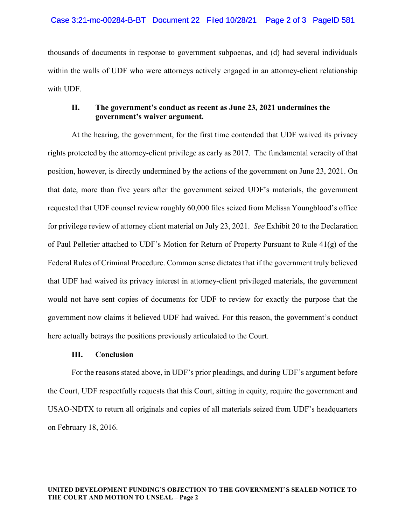thousands of documents in response to government subpoenas, and (d) had several individuals within the walls of UDF who were attorneys actively engaged in an attorney-client relationship with UDF.

## II. The government's conduct as recent as June 23, 2021 undermines the government's waiver argument.

At the hearing, the government, for the first time contended that UDF waived its privacy rights protected by the attorney-client privilege as early as 2017. The fundamental veracity of that position, however, is directly undermined by the actions of the government on June 23, 2021. On that date, more than five years after the government seized UDF's materials, the government requested that UDF counsel review roughly 60,000 files seized from Melissa Youngblood's office for privilege review of attorney client material on July 23, 2021. See Exhibit 20 to the Declaration of Paul Pelletier attached to UDF's Motion for Return of Property Pursuant to Rule 41(g) of the Federal Rules of Criminal Procedure. Common sense dictates that if the government truly believed that UDF had waived its privacy interest in attorney-client privileged materials, the government would not have sent copies of documents for UDF to review for exactly the purpose that the government now claims it believed UDF had waived. For this reason, the government's conduct here actually betrays the positions previously articulated to the Court.

## III. Conclusion

For the reasons stated above, in UDF's prior pleadings, and during UDF's argument before the Court, UDF respectfully requests that this Court, sitting in equity, require the government and USAO-NDTX to return all originals and copies of all materials seized from UDF's headquarters on February 18, 2016.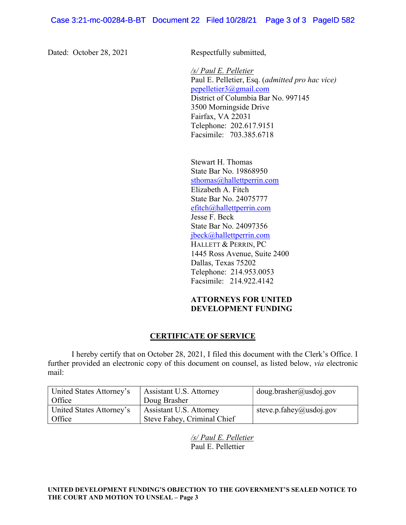Dated: October 28, 2021 Respectfully submitted,

 /s/ Paul E. Pelletier Paul E. Pelletier, Esq. (admitted pro hac vice) pepelletier3@gmail.com District of Columbia Bar No. 997145 3500 Morningside Drive Fairfax, VA 22031 Telephone: 202.617.9151 Facsimile: 703.385.6718

Stewart H. Thomas State Bar No. 19868950 sthomas@hallettperrin.com Elizabeth A. Fitch State Bar No. 24075777 efitch@hallettperrin.com Jesse F. Beck State Bar No. 24097356 jbeck@hallettperrin.com HALLETT & PERRIN, PC 1445 Ross Avenue, Suite 2400 Dallas, Texas 75202 Telephone: 214.953.0053 Facsimile: 214.922.4142

# ATTORNEYS FOR UNITED DEVELOPMENT FUNDING

# CERTIFICATE OF SERVICE

I hereby certify that on October 28, 2021, I filed this document with the Clerk's Office. I further provided an electronic copy of this document on counsel, as listed below, via electronic mail:

| United States Attorney's | Assistant U.S. Attorney     | doug.brasher@usdoj.gov  |
|--------------------------|-----------------------------|-------------------------|
| Office                   | Doug Brasher                |                         |
| United States Attorney's | Assistant U.S. Attorney     | steve.p.fahey@usdoj.gov |
| <b>Office</b>            | Steve Fahey, Criminal Chief |                         |

/s/ Paul E. Pelletier Paul E. Pellettier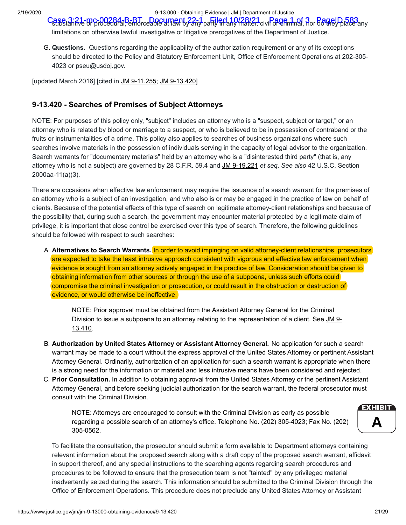2/19/2020 9-13.000 - Obtaining Evidence | JM | Department of Justice

Case 3:21-mc-00284-B-BT Document 22-1 party filed 10/28/21 civil 3 Page 1 3 or da well blace any

limitations on otherwise lawful investigative or litigative prerogatives of the Department of Justice.

G. **Questions.** Questions regarding the applicability of the authorization requirement or any of its exceptions should be directed to the Policy and Statutory Enforcement Unit, Office of Enforcement Operations at 202-305- 4023 or pseu@usdoj.gov.

[updated March 2016] [cited in [JM 9-11.255;](https://www.justice.gov/jm/jm-9-11000-grand-jury#9-11.255#9-11.255) JM 9-13.420]

# **9-13.420 - Searches of Premises of Subject Attorneys**

NOTE: For purposes of this policy only, "subject" includes an attorney who is a "suspect, subject or target," or an attorney who is related by blood or marriage to a suspect, or who is believed to be in possession of contraband or the fruits or instrumentalities of a crime. This policy also applies to searches of business organizations where such searches involve materials in the possession of individuals serving in the capacity of legal advisor to the organization. Search warrants for "documentary materials" held by an attorney who is a "disinterested third party" (that is, any attorney who is not a subject) are governed by 28 C.F.R. 59.4 and [JM 9-19.221](https://www.justice.gov/jm/jm-9-19000-documentary-material-held-third-parties#9-19.221#9-19.221) *et seq*. *See also* 42 U.S.C. Section 2000aa-11(a)(3).

There are occasions when effective law enforcement may require the issuance of a search warrant for the premises of an attorney who is a subject of an investigation, and who also is or may be engaged in the practice of law on behalf of clients. Because of the potential effects of this type of search on legitimate attorney-client relationships and because of the possibility that, during such a search, the government may encounter material protected by a legitimate claim of privilege, it is important that close control be exercised over this type of search. Therefore, the following guidelines should be followed with respect to such searches:

A. **Alternatives to Search Warrants.** In order to avoid impinging on valid attorney-client relationships, prosecutors are expected to take the least intrusive approach consistent with vigorous and effective law enforcement when evidence is sought from an attorney actively engaged in the practice of law. Consideration should be given to obtaining information from other sources or through the use of a subpoena, unless such efforts could compromise the criminal investigation or prosecution, or could result in the obstruction or destruction of evidence, or would otherwise be ineffective.

NOTE: Prior approval must be obtained from the Assistant Attorney General for the Criminal Division to issue a subpoena to an attorney relating to the representation of a client. See JM 9-13.410.

- B. **Authorization by United States Attorney or Assistant Attorney General.** No application for such a search warrant may be made to a court without the express approval of the United States Attorney or pertinent Assistant Attorney General. Ordinarily, authorization of an application for such a search warrant is appropriate when there is a strong need for the information or material and less intrusive means have been considered and rejected.
- C. **Prior Consultation.** In addition to obtaining approval from the United States Attorney or the pertinent Assistant Attorney General, and before seeking judicial authorization for the search warrant, the federal prosecutor must consult with the Criminal Division.

NOTE: Attorneys are encouraged to consult with the Criminal Division as early as possible regarding a possible search of an attorney's office. Telephone No. (202) 305-4023; Fax No. (202) 305-0562.



To facilitate the consultation, the prosecutor should submit a form available to Department attorneys containing relevant information about the proposed search along with a draft copy of the proposed search warrant, affidavit in support thereof, and any special instructions to the searching agents regarding search procedures and procedures to be followed to ensure that the prosecution team is not "tainted" by any privileged material inadvertently seized during the search. This information should be submitted to the Criminal Division through the Office of Enforcement Operations. This procedure does not preclude any United States Attorney or Assistant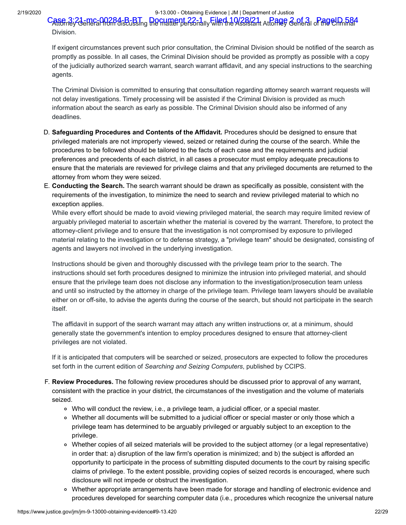#### 2/19/2020 9-13.000 - Obtaining Evidence | JM | Department of Justice

Case 3:21-mc-00284-B-BT Document 22-1 by Filed 10/28/21 Atoney General of the Climina<sup>4</sup> Division.

If exigent circumstances prevent such prior consultation, the Criminal Division should be notified of the search as promptly as possible. In all cases, the Criminal Division should be provided as promptly as possible with a copy of the judicially authorized search warrant, search warrant affidavit, and any special instructions to the searching agents.

The Criminal Division is committed to ensuring that consultation regarding attorney search warrant requests will not delay investigations. Timely processing will be assisted if the Criminal Division is provided as much information about the search as early as possible. The Criminal Division should also be informed of any deadlines.

- D. **Safeguarding Procedures and Contents of the Affidavit.** Procedures should be designed to ensure that privileged materials are not improperly viewed, seized or retained during the course of the search. While the procedures to be followed should be tailored to the facts of each case and the requirements and judicial preferences and precedents of each district, in all cases a prosecutor must employ adequate precautions to ensure that the materials are reviewed for privilege claims and that any privileged documents are returned to the attorney from whom they were seized.
- E. **Conducting the Search.** The search warrant should be drawn as specifically as possible, consistent with the requirements of the investigation, to minimize the need to search and review privileged material to which no exception applies.

While every effort should be made to avoid viewing privileged material, the search may require limited review of arguably privileged material to ascertain whether the material is covered by the warrant. Therefore, to protect the attorney-client privilege and to ensure that the investigation is not compromised by exposure to privileged material relating to the investigation or to defense strategy, a "privilege team" should be designated, consisting of agents and lawyers not involved in the underlying investigation.

Instructions should be given and thoroughly discussed with the privilege team prior to the search. The instructions should set forth procedures designed to minimize the intrusion into privileged material, and should ensure that the privilege team does not disclose any information to the investigation/prosecution team unless and until so instructed by the attorney in charge of the privilege team. Privilege team lawyers should be available either on or off-site, to advise the agents during the course of the search, but should not participate in the search itself.

The affidavit in support of the search warrant may attach any written instructions or, at a minimum, should generally state the government's intention to employ procedures designed to ensure that attorney-client privileges are not violated.

If it is anticipated that computers will be searched or seized, prosecutors are expected to follow the procedures set forth in the current edition of *Searching and Seizing Computers*, published by CCIPS.

- F. **Review Procedures.** The following review procedures should be discussed prior to approval of any warrant, consistent with the practice in your district, the circumstances of the investigation and the volume of materials seized.
	- Who will conduct the review, i.e., a privilege team, a judicial officer, or a special master.
	- Whether all documents will be submitted to a judicial officer or special master or only those which a privilege team has determined to be arguably privileged or arguably subject to an exception to the privilege.
	- Whether copies of all seized materials will be provided to the subject attorney (or a legal representative) in order that: a) disruption of the law firm's operation is minimized; and b) the subject is afforded an opportunity to participate in the process of submitting disputed documents to the court by raising specific claims of privilege. To the extent possible, providing copies of seized records is encouraged, where such disclosure will not impede or obstruct the investigation.
	- Whether appropriate arrangements have been made for storage and handling of electronic evidence and procedures developed for searching computer data (i.e., procedures which recognize the universal nature